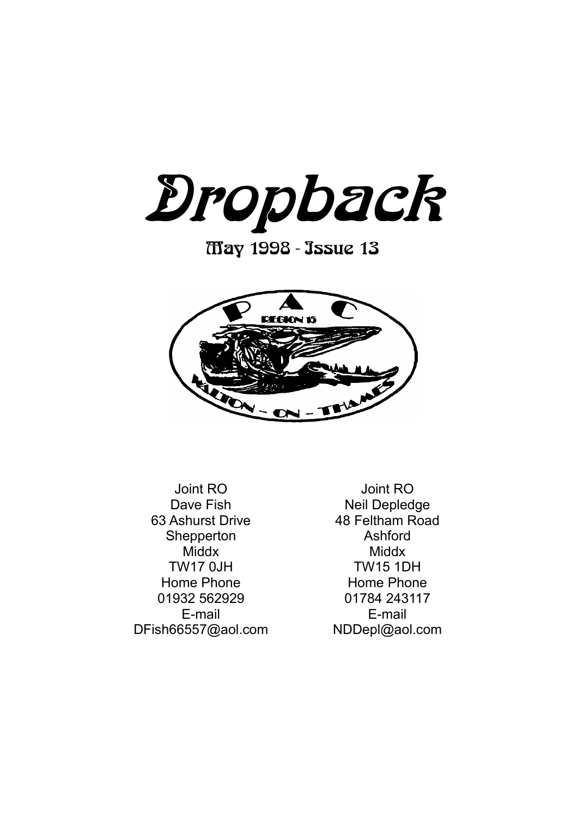Dropback

May 1998 - Issue 13



Joint RO Dave Fish 63 Ashurst Drive Shepperton Middx TW17 0JH Home Phone 01932 562929 E-mail DFish66557@aol.com

Joint RO Neil Depledge 48 Feltham Road Ashford **Middx** TW15 1DH Home Phone 01784 243117 E-mail NDDepl@aol.com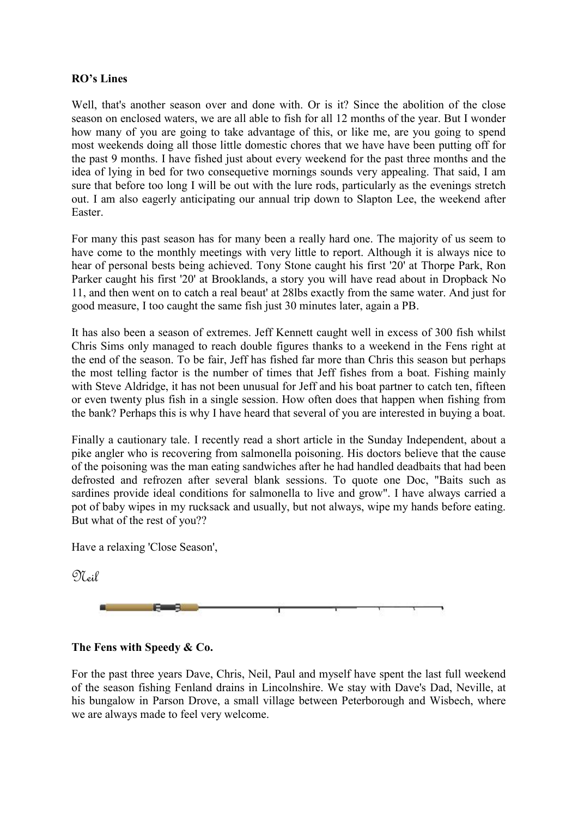#### **RO's Lines**

Well, that's another season over and done with. Or is it? Since the abolition of the close season on enclosed waters, we are all able to fish for all 12 months of the year. But I wonder how many of you are going to take advantage of this, or like me, are you going to spend most weekends doing all those little domestic chores that we have have been putting off for the past 9 months. I have fished just about every weekend for the past three months and the idea of lying in bed for two consequetive mornings sounds very appealing. That said, I am sure that before too long I will be out with the lure rods, particularly as the evenings stretch out. I am also eagerly anticipating our annual trip down to Slapton Lee, the weekend after **Easter** 

For many this past season has for many been a really hard one. The majority of us seem to have come to the monthly meetings with very little to report. Although it is always nice to hear of personal bests being achieved. Tony Stone caught his first '20' at Thorpe Park, Ron Parker caught his first '20' at Brooklands, a story you will have read about in Dropback No 11, and then went on to catch a real beaut' at 28lbs exactly from the same water. And just for good measure, I too caught the same fish just 30 minutes later, again a PB.

It has also been a season of extremes. Jeff Kennett caught well in excess of 300 fish whilst Chris Sims only managed to reach double figures thanks to a weekend in the Fens right at the end of the season. To be fair, Jeff has fished far more than Chris this season but perhaps the most telling factor is the number of times that Jeff fishes from a boat. Fishing mainly with Steve Aldridge, it has not been unusual for Jeff and his boat partner to catch ten, fifteen or even twenty plus fish in a single session. How often does that happen when fishing from the bank? Perhaps this is why I have heard that several of you are interested in buying a boat.

Finally a cautionary tale. I recently read a short article in the Sunday Independent, about a pike angler who is recovering from salmonella poisoning. His doctors believe that the cause of the poisoning was the man eating sandwiches after he had handled deadbaits that had been defrosted and refrozen after several blank sessions. To quote one Doc, "Baits such as sardines provide ideal conditions for salmonella to live and grow". I have always carried a pot of baby wipes in my rucksack and usually, but not always, wipe my hands before eating. But what of the rest of you??

Have a relaxing 'Close Season',

 $\mathfrak{M}_{el}$ 

**Part Ave** 



For the past three years Dave, Chris, Neil, Paul and myself have spent the last full weekend of the season fishing Fenland drains in Lincolnshire. We stay with Dave's Dad, Neville, at his bungalow in Parson Drove, a small village between Peterborough and Wisbech, where we are always made to feel very welcome.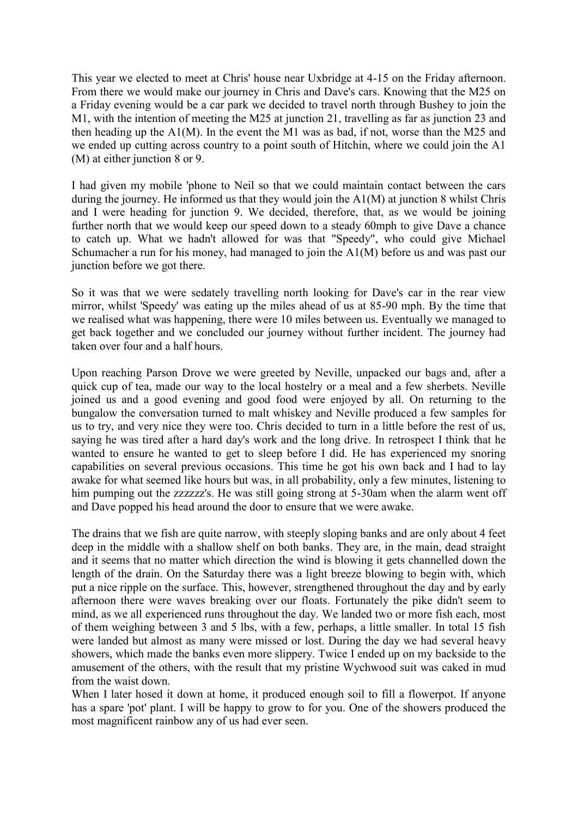This year we elected to meet at Chris' house near Uxbridge at 4-15 on the Friday afternoon. From there we would make our journey in Chris and Dave's cars. Knowing that the M25 on a Friday evening would be a car park we decided to travel north through Bushey to join the M1, with the intention of meeting the M25 at junction 21, travelling as far as junction 23 and then heading up the A1(M). In the event the M1 was as bad, if not, worse than the M25 and we ended up cutting across country to a point south of Hitchin, where we could join the A1 (M) at either junction 8 or 9.

I had given my mobile 'phone to Neil so that we could maintain contact between the cars during the journey. He informed us that they would join the A1(M) at junction 8 whilst Chris and I were heading for junction 9. We decided, therefore, that, as we would be joining further north that we would keep our speed down to a steady 60mph to give Dave a chance to catch up. What we hadn't allowed for was that "Speedy", who could give Michael Schumacher a run for his money, had managed to join the A1(M) before us and was past our junction before we got there.

So it was that we were sedately travelling north looking for Dave's car in the rear view mirror, whilst 'Speedy' was eating up the miles ahead of us at 85-90 mph. By the time that we realised what was happening, there were 10 miles between us. Eventually we managed to get back together and we concluded our journey without further incident. The journey had taken over four and a half hours.

Upon reaching Parson Drove we were greeted by Neville, unpacked our bags and, after a quick cup of tea, made our way to the local hostelry or a meal and a few sherbets. Neville joined us and a good evening and good food were enjoyed by all. On returning to the bungalow the conversation turned to malt whiskey and Neville produced a few samples for us to try, and very nice they were too. Chris decided to turn in a little before the rest of us, saying he was tired after a hard day's work and the long drive. In retrospect I think that he wanted to ensure he wanted to get to sleep before I did. He has experienced my snoring capabilities on several previous occasions. This time he got his own back and I had to lay awake for what seemed like hours but was, in all probability, only a few minutes, listening to him pumping out the zzzzzz's. He was still going strong at 5-30am when the alarm went off and Dave popped his head around the door to ensure that we were awake.

The drains that we fish are quite narrow, with steeply sloping banks and are only about 4 feet deep in the middle with a shallow shelf on both banks. They are, in the main, dead straight and it seems that no matter which direction the wind is blowing it gets channelled down the length of the drain. On the Saturday there was a light breeze blowing to begin with, which put a nice ripple on the surface. This, however, strengthened throughout the day and by early afternoon there were waves breaking over our floats. Fortunately the pike didn't seem to mind, as we all experienced runs throughout the day. We landed two or more fish each, most of them weighing between 3 and 5 lbs, with a few, perhaps, a little smaller. In total 15 fish were landed but almost as many were missed or lost. During the day we had several heavy showers, which made the banks even more slippery. Twice I ended up on my backside to the amusement of the others, with the result that my pristine Wychwood suit was caked in mud from the waist down.

When I later hosed it down at home, it produced enough soil to fill a flowerpot. If anyone has a spare 'pot' plant. I will be happy to grow to for you. One of the showers produced the most magnificent rainbow any of us had ever seen.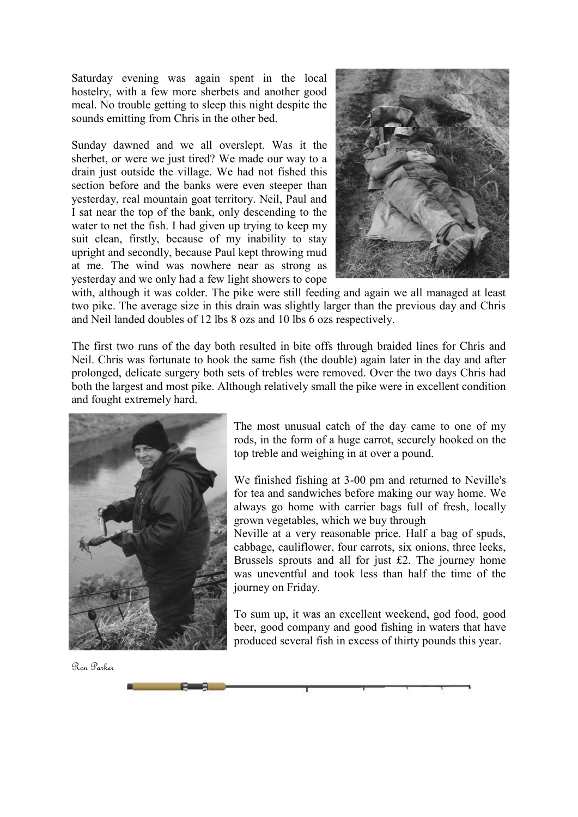Saturday evening was again spent in the local hostelry, with a few more sherbets and another good meal. No trouble getting to sleep this night despite the sounds emitting from Chris in the other bed.

Sunday dawned and we all overslept. Was it the sherbet, or were we just tired? We made our way to a drain just outside the village. We had not fished this section before and the banks were even steeper than yesterday, real mountain goat territory. Neil, Paul and I sat near the top of the bank, only descending to the water to net the fish. I had given up trying to keep my suit clean, firstly, because of my inability to stay upright and secondly, because Paul kept throwing mud at me. The wind was nowhere near as strong as yesterday and we only had a few light showers to cope



with, although it was colder. The pike were still feeding and again we all managed at least two pike. The average size in this drain was slightly larger than the previous day and Chris and Neil landed doubles of 12 lbs 8 ozs and 10 lbs 6 ozs respectively.

The first two runs of the day both resulted in bite offs through braided lines for Chris and Neil. Chris was fortunate to hook the same fish (the double) again later in the day and after prolonged, delicate surgery both sets of trebles were removed. Over the two days Chris had both the largest and most pike. Although relatively small the pike were in excellent condition and fought extremely hard.



The most unusual catch of the day came to one of my rods, in the form of a huge carrot, securely hooked on the top treble and weighing in at over a pound.

We finished fishing at 3-00 pm and returned to Neville's for tea and sandwiches before making our way home. We always go home with carrier bags full of fresh, locally grown vegetables, which we buy through

Neville at a very reasonable price. Half a bag of spuds, cabbage, cauliflower, four carrots, six onions, three leeks, Brussels sprouts and all for just £2. The journey home was uneventful and took less than half the time of the journey on Friday.

To sum up, it was an excellent weekend, god food, good beer, good company and good fishing in waters that have produced several fish in excess of thirty pounds this year.

Ron Parker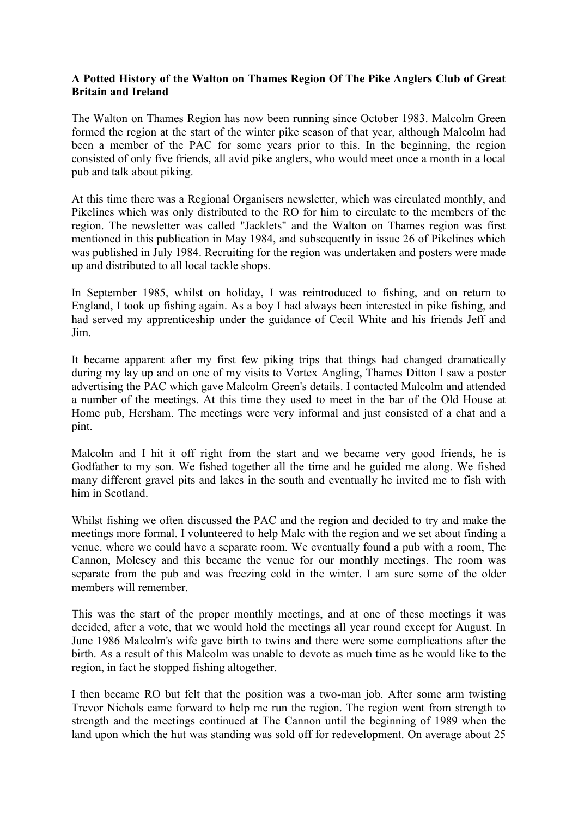## **A Potted History of the Walton on Thames Region Of The Pike Anglers Club of Great Britain and Ireland**

The Walton on Thames Region has now been running since October 1983. Malcolm Green formed the region at the start of the winter pike season of that year, although Malcolm had been a member of the PAC for some years prior to this. In the beginning, the region consisted of only five friends, all avid pike anglers, who would meet once a month in a local pub and talk about piking.

At this time there was a Regional Organisers newsletter, which was circulated monthly, and Pikelines which was only distributed to the RO for him to circulate to the members of the region. The newsletter was called "Jacklets" and the Walton on Thames region was first mentioned in this publication in May 1984, and subsequently in issue 26 of Pikelines which was published in July 1984. Recruiting for the region was undertaken and posters were made up and distributed to all local tackle shops.

In September 1985, whilst on holiday, I was reintroduced to fishing, and on return to England, I took up fishing again. As a boy I had always been interested in pike fishing, and had served my apprenticeship under the guidance of Cecil White and his friends Jeff and Jim.

It became apparent after my first few piking trips that things had changed dramatically during my lay up and on one of my visits to Vortex Angling, Thames Ditton I saw a poster advertising the PAC which gave Malcolm Green's details. I contacted Malcolm and attended a number of the meetings. At this time they used to meet in the bar of the Old House at Home pub, Hersham. The meetings were very informal and just consisted of a chat and a pint.

Malcolm and I hit it off right from the start and we became very good friends, he is Godfather to my son. We fished together all the time and he guided me along. We fished many different gravel pits and lakes in the south and eventually he invited me to fish with him in Scotland.

Whilst fishing we often discussed the PAC and the region and decided to try and make the meetings more formal. I volunteered to help Malc with the region and we set about finding a venue, where we could have a separate room. We eventually found a pub with a room, The Cannon, Molesey and this became the venue for our monthly meetings. The room was separate from the pub and was freezing cold in the winter. I am sure some of the older members will remember.

This was the start of the proper monthly meetings, and at one of these meetings it was decided, after a vote, that we would hold the meetings all year round except for August. In June 1986 Malcolm's wife gave birth to twins and there were some complications after the birth. As a result of this Malcolm was unable to devote as much time as he would like to the region, in fact he stopped fishing altogether.

I then became RO but felt that the position was a two-man job. After some arm twisting Trevor Nichols came forward to help me run the region. The region went from strength to strength and the meetings continued at The Cannon until the beginning of 1989 when the land upon which the hut was standing was sold off for redevelopment. On average about 25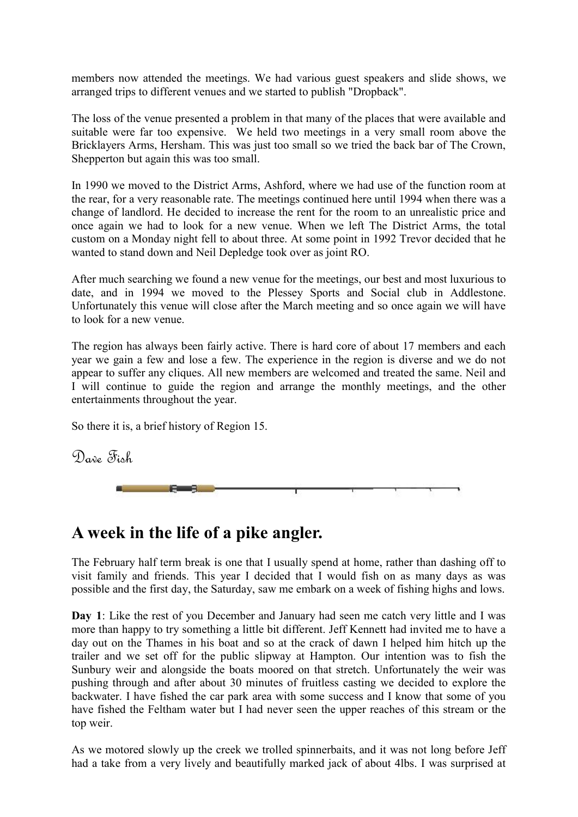members now attended the meetings. We had various guest speakers and slide shows, we arranged trips to different venues and we started to publish "Dropback".

The loss of the venue presented a problem in that many of the places that were available and suitable were far too expensive. We held two meetings in a very small room above the Bricklayers Arms, Hersham. This was just too small so we tried the back bar of The Crown, Shepperton but again this was too small.

In 1990 we moved to the District Arms, Ashford, where we had use of the function room at the rear, for a very reasonable rate. The meetings continued here until 1994 when there was a change of landlord. He decided to increase the rent for the room to an unrealistic price and once again we had to look for a new venue. When we left The District Arms, the total custom on a Monday night fell to about three. At some point in 1992 Trevor decided that he wanted to stand down and Neil Depledge took over as joint RO.

After much searching we found a new venue for the meetings, our best and most luxurious to date, and in 1994 we moved to the Plessey Sports and Social club in Addlestone. Unfortunately this venue will close after the March meeting and so once again we will have to look for a new venue.

The region has always been fairly active. There is hard core of about 17 members and each year we gain a few and lose a few. The experience in the region is diverse and we do not appear to suffer any cliques. All new members are welcomed and treated the same. Neil and I will continue to guide the region and arrange the monthly meetings, and the other entertainments throughout the year.

So there it is, a brief history of Region 15.

Dave Fish

 $B - B$ 

# **A week in the life of a pike angler.**

The February half term break is one that I usually spend at home, rather than dashing off to visit family and friends. This year I decided that I would fish on as many days as was possible and the first day, the Saturday, saw me embark on a week of fishing highs and lows.

**Day 1**: Like the rest of you December and January had seen me catch very little and I was more than happy to try something a little bit different. Jeff Kennett had invited me to have a day out on the Thames in his boat and so at the crack of dawn I helped him hitch up the trailer and we set off for the public slipway at Hampton. Our intention was to fish the Sunbury weir and alongside the boats moored on that stretch. Unfortunately the weir was pushing through and after about 30 minutes of fruitless casting we decided to explore the backwater. I have fished the car park area with some success and I know that some of you have fished the Feltham water but I had never seen the upper reaches of this stream or the top weir.

As we motored slowly up the creek we trolled spinnerbaits, and it was not long before Jeff had a take from a very lively and beautifully marked jack of about 4lbs. I was surprised at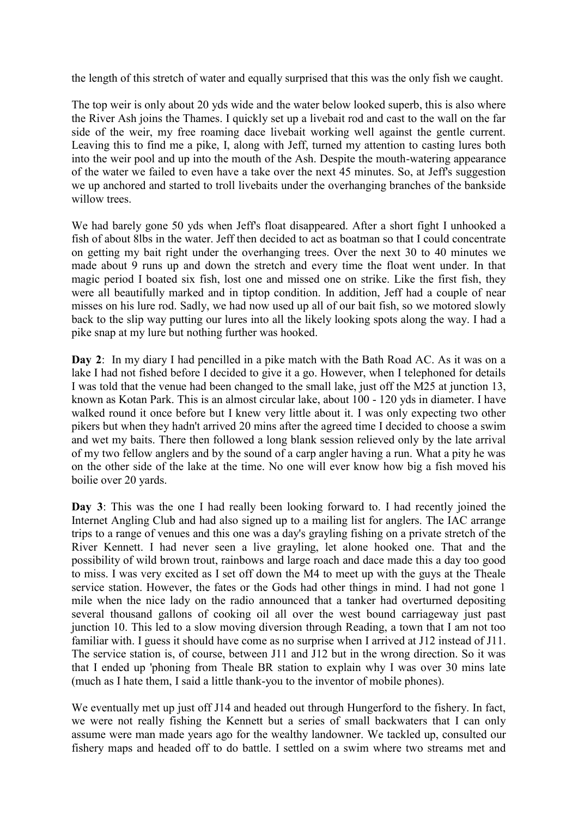the length of this stretch of water and equally surprised that this was the only fish we caught.

The top weir is only about 20 yds wide and the water below looked superb, this is also where the River Ash joins the Thames. I quickly set up a livebait rod and cast to the wall on the far side of the weir, my free roaming dace livebait working well against the gentle current. Leaving this to find me a pike, I, along with Jeff, turned my attention to casting lures both into the weir pool and up into the mouth of the Ash. Despite the mouth-watering appearance of the water we failed to even have a take over the next 45 minutes. So, at Jeff's suggestion we up anchored and started to troll livebaits under the overhanging branches of the bankside willow trees.

We had barely gone 50 yds when Jeff's float disappeared. After a short fight I unhooked a fish of about 8lbs in the water. Jeff then decided to act as boatman so that I could concentrate on getting my bait right under the overhanging trees. Over the next 30 to 40 minutes we made about 9 runs up and down the stretch and every time the float went under. In that magic period I boated six fish, lost one and missed one on strike. Like the first fish, they were all beautifully marked and in tiptop condition. In addition, Jeff had a couple of near misses on his lure rod. Sadly, we had now used up all of our bait fish, so we motored slowly back to the slip way putting our lures into all the likely looking spots along the way. I had a pike snap at my lure but nothing further was hooked.

**Day 2**: In my diary I had pencilled in a pike match with the Bath Road AC. As it was on a lake I had not fished before I decided to give it a go. However, when I telephoned for details I was told that the venue had been changed to the small lake, just off the M25 at junction 13, known as Kotan Park. This is an almost circular lake, about 100 - 120 yds in diameter. I have walked round it once before but I knew very little about it. I was only expecting two other pikers but when they hadn't arrived 20 mins after the agreed time I decided to choose a swim and wet my baits. There then followed a long blank session relieved only by the late arrival of my two fellow anglers and by the sound of a carp angler having a run. What a pity he was on the other side of the lake at the time. No one will ever know how big a fish moved his boilie over 20 yards.

**Day 3**: This was the one I had really been looking forward to. I had recently joined the Internet Angling Club and had also signed up to a mailing list for anglers. The IAC arrange trips to a range of venues and this one was a day's grayling fishing on a private stretch of the River Kennett. I had never seen a live grayling, let alone hooked one. That and the possibility of wild brown trout, rainbows and large roach and dace made this a day too good to miss. I was very excited as I set off down the M4 to meet up with the guys at the Theale service station. However, the fates or the Gods had other things in mind. I had not gone 1 mile when the nice lady on the radio announced that a tanker had overturned depositing several thousand gallons of cooking oil all over the west bound carriageway just past junction 10. This led to a slow moving diversion through Reading, a town that I am not too familiar with. I guess it should have come as no surprise when I arrived at J12 instead of J11. The service station is, of course, between J11 and J12 but in the wrong direction. So it was that I ended up 'phoning from Theale BR station to explain why I was over 30 mins late (much as I hate them, I said a little thank-you to the inventor of mobile phones).

We eventually met up just off J14 and headed out through Hungerford to the fishery. In fact, we were not really fishing the Kennett but a series of small backwaters that I can only assume were man made years ago for the wealthy landowner. We tackled up, consulted our fishery maps and headed off to do battle. I settled on a swim where two streams met and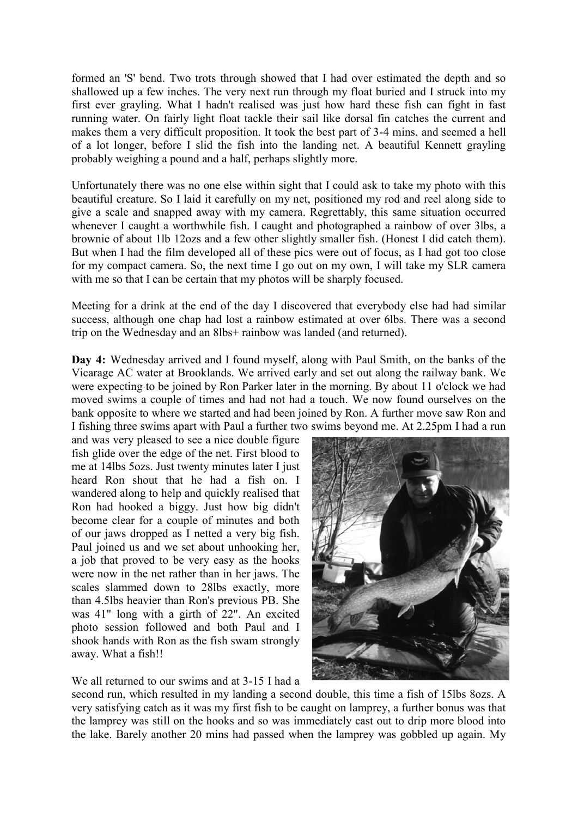formed an 'S' bend. Two trots through showed that I had over estimated the depth and so shallowed up a few inches. The very next run through my float buried and I struck into my first ever grayling. What I hadn't realised was just how hard these fish can fight in fast running water. On fairly light float tackle their sail like dorsal fin catches the current and makes them a very difficult proposition. It took the best part of 3-4 mins, and seemed a hell of a lot longer, before I slid the fish into the landing net. A beautiful Kennett grayling probably weighing a pound and a half, perhaps slightly more.

Unfortunately there was no one else within sight that I could ask to take my photo with this beautiful creature. So I laid it carefully on my net, positioned my rod and reel along side to give a scale and snapped away with my camera. Regrettably, this same situation occurred whenever I caught a worthwhile fish. I caught and photographed a rainbow of over 3lbs, a brownie of about 1lb 12ozs and a few other slightly smaller fish. (Honest I did catch them). But when I had the film developed all of these pics were out of focus, as I had got too close for my compact camera. So, the next time I go out on my own, I will take my SLR camera with me so that I can be certain that my photos will be sharply focused.

Meeting for a drink at the end of the day I discovered that everybody else had had similar success, although one chap had lost a rainbow estimated at over 6lbs. There was a second trip on the Wednesday and an 8lbs+ rainbow was landed (and returned).

**Day 4:** Wednesday arrived and I found myself, along with Paul Smith, on the banks of the Vicarage AC water at Brooklands. We arrived early and set out along the railway bank. We were expecting to be joined by Ron Parker later in the morning. By about 11 o'clock we had moved swims a couple of times and had not had a touch. We now found ourselves on the bank opposite to where we started and had been joined by Ron. A further move saw Ron and I fishing three swims apart with Paul a further two swims beyond me. At 2.25pm I had a run

and was very pleased to see a nice double figure fish glide over the edge of the net. First blood to me at 14lbs 5ozs. Just twenty minutes later I just heard Ron shout that he had a fish on. I wandered along to help and quickly realised that Ron had hooked a biggy. Just how big didn't become clear for a couple of minutes and both of our jaws dropped as I netted a very big fish. Paul joined us and we set about unhooking her, a job that proved to be very easy as the hooks were now in the net rather than in her jaws. The scales slammed down to 28lbs exactly, more than 4.5lbs heavier than Ron's previous PB. She was 41" long with a girth of 22". An excited photo session followed and both Paul and I shook hands with Ron as the fish swam strongly away. What a fish!!

We all returned to our swims and at 3-15 I had a

second run, which resulted in my landing a second double, this time a fish of 15lbs 8ozs. A very satisfying catch as it was my first fish to be caught on lamprey, a further bonus was that the lamprey was still on the hooks and so was immediately cast out to drip more blood into the lake. Barely another 20 mins had passed when the lamprey was gobbled up again. My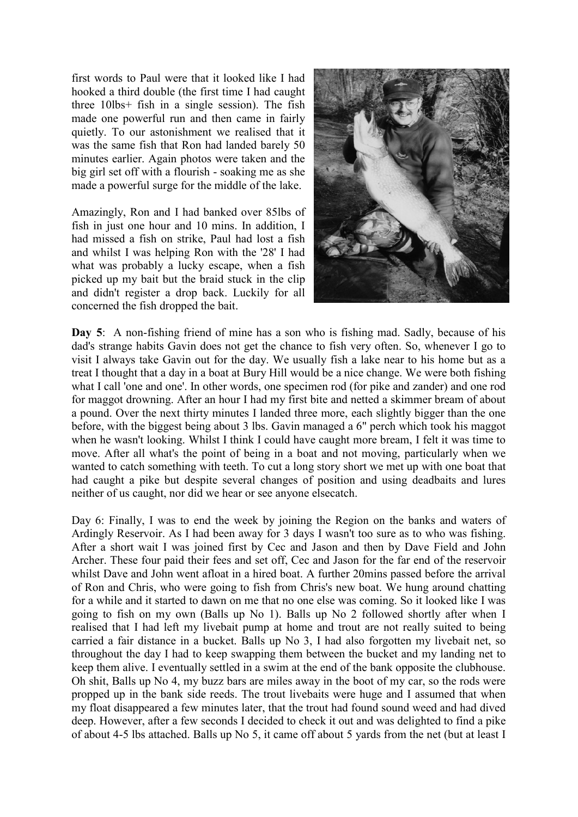first words to Paul were that it looked like I had hooked a third double (the first time I had caught three 10lbs+ fish in a single session). The fish made one powerful run and then came in fairly quietly. To our astonishment we realised that it was the same fish that Ron had landed barely 50 minutes earlier. Again photos were taken and the big girl set off with a flourish - soaking me as she made a powerful surge for the middle of the lake.

Amazingly, Ron and I had banked over 85lbs of fish in just one hour and 10 mins. In addition, I had missed a fish on strike, Paul had lost a fish and whilst I was helping Ron with the '28' I had what was probably a lucky escape, when a fish picked up my bait but the braid stuck in the clip and didn't register a drop back. Luckily for all concerned the fish dropped the bait.



**Day 5**: A non-fishing friend of mine has a son who is fishing mad. Sadly, because of his dad's strange habits Gavin does not get the chance to fish very often. So, whenever I go to visit I always take Gavin out for the day. We usually fish a lake near to his home but as a treat I thought that a day in a boat at Bury Hill would be a nice change. We were both fishing what I call 'one and one'. In other words, one specimen rod (for pike and zander) and one rod for maggot drowning. After an hour I had my first bite and netted a skimmer bream of about a pound. Over the next thirty minutes I landed three more, each slightly bigger than the one before, with the biggest being about 3 lbs. Gavin managed a 6" perch which took his maggot when he wasn't looking. Whilst I think I could have caught more bream, I felt it was time to move. After all what's the point of being in a boat and not moving, particularly when we wanted to catch something with teeth. To cut a long story short we met up with one boat that had caught a pike but despite several changes of position and using deadbaits and lures neither of us caught, nor did we hear or see anyone elsecatch.

Day 6: Finally, I was to end the week by joining the Region on the banks and waters of Ardingly Reservoir. As I had been away for 3 days I wasn't too sure as to who was fishing. After a short wait I was joined first by Cec and Jason and then by Dave Field and John Archer. These four paid their fees and set off, Cec and Jason for the far end of the reservoir whilst Dave and John went afloat in a hired boat. A further 20mins passed before the arrival of Ron and Chris, who were going to fish from Chris's new boat. We hung around chatting for a while and it started to dawn on me that no one else was coming. So it looked like I was going to fish on my own (Balls up No 1). Balls up No 2 followed shortly after when I realised that I had left my livebait pump at home and trout are not really suited to being carried a fair distance in a bucket. Balls up No 3, I had also forgotten my livebait net, so throughout the day I had to keep swapping them between the bucket and my landing net to keep them alive. I eventually settled in a swim at the end of the bank opposite the clubhouse. Oh shit, Balls up No 4, my buzz bars are miles away in the boot of my car, so the rods were propped up in the bank side reeds. The trout livebaits were huge and I assumed that when my float disappeared a few minutes later, that the trout had found sound weed and had dived deep. However, after a few seconds I decided to check it out and was delighted to find a pike of about 4-5 lbs attached. Balls up No 5, it came off about 5 yards from the net (but at least I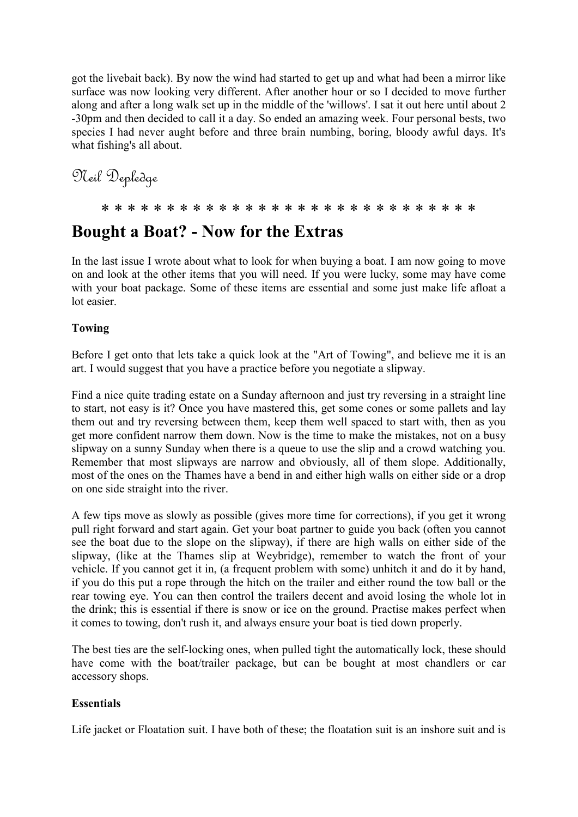got the livebait back). By now the wind had started to get up and what had been a mirror like surface was now looking very different. After another hour or so I decided to move further along and after a long walk set up in the middle of the 'willows'. I sat it out here until about 2 -30pm and then decided to call it a day. So ended an amazing week. Four personal bests, two species I had never aught before and three brain numbing, boring, bloody awful days. It's what fishing's all about.

Neil Depledge

#### \* \* \* \* \* \* \* \* \* \* \* \* \* \* \* \* \* \* \* \* \* \* \* \* \* \* \* \* \*

# **Bought a Boat? - Now for the Extras**

In the last issue I wrote about what to look for when buying a boat. I am now going to move on and look at the other items that you will need. If you were lucky, some may have come with your boat package. Some of these items are essential and some just make life afloat a lot easier.

# **Towing**

Before I get onto that lets take a quick look at the "Art of Towing", and believe me it is an art. I would suggest that you have a practice before you negotiate a slipway.

Find a nice quite trading estate on a Sunday afternoon and just try reversing in a straight line to start, not easy is it? Once you have mastered this, get some cones or some pallets and lay them out and try reversing between them, keep them well spaced to start with, then as you get more confident narrow them down. Now is the time to make the mistakes, not on a busy slipway on a sunny Sunday when there is a queue to use the slip and a crowd watching you. Remember that most slipways are narrow and obviously, all of them slope. Additionally, most of the ones on the Thames have a bend in and either high walls on either side or a drop on one side straight into the river.

A few tips move as slowly as possible (gives more time for corrections), if you get it wrong pull right forward and start again. Get your boat partner to guide you back (often you cannot see the boat due to the slope on the slipway), if there are high walls on either side of the slipway, (like at the Thames slip at Weybridge), remember to watch the front of your vehicle. If you cannot get it in, (a frequent problem with some) unhitch it and do it by hand, if you do this put a rope through the hitch on the trailer and either round the tow ball or the rear towing eye. You can then control the trailers decent and avoid losing the whole lot in the drink; this is essential if there is snow or ice on the ground. Practise makes perfect when it comes to towing, don't rush it, and always ensure your boat is tied down properly.

The best ties are the self-locking ones, when pulled tight the automatically lock, these should have come with the boat/trailer package, but can be bought at most chandlers or car accessory shops.

#### **Essentials**

Life jacket or Floatation suit. I have both of these; the floatation suit is an inshore suit and is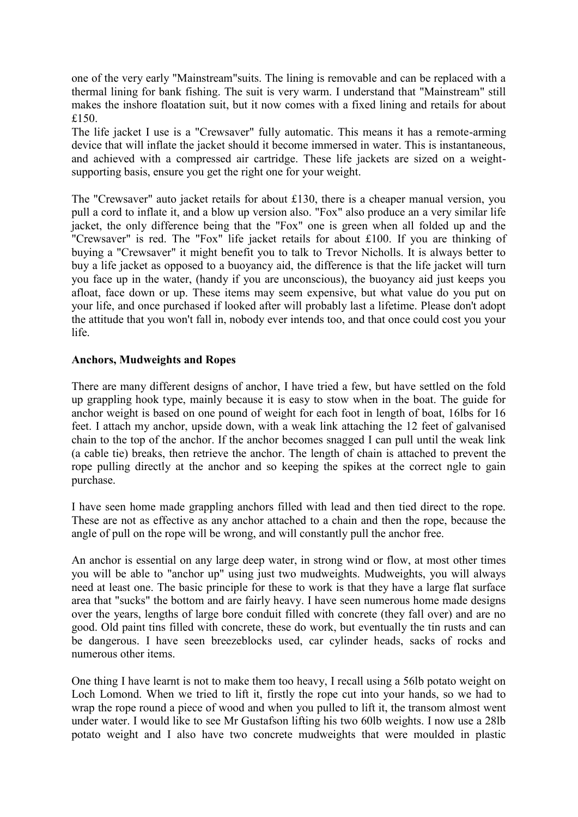one of the very early "Mainstream"suits. The lining is removable and can be replaced with a thermal lining for bank fishing. The suit is very warm. I understand that "Mainstream" still makes the inshore floatation suit, but it now comes with a fixed lining and retails for about £150.

The life jacket I use is a "Crewsaver" fully automatic. This means it has a remote-arming device that will inflate the jacket should it become immersed in water. This is instantaneous, and achieved with a compressed air cartridge. These life jackets are sized on a weightsupporting basis, ensure you get the right one for your weight.

The "Crewsaver" auto jacket retails for about £130, there is a cheaper manual version, you pull a cord to inflate it, and a blow up version also. "Fox" also produce an a very similar life jacket, the only difference being that the "Fox" one is green when all folded up and the "Crewsaver" is red. The "Fox" life jacket retails for about £100. If you are thinking of buying a "Crewsaver" it might benefit you to talk to Trevor Nicholls. It is always better to buy a life jacket as opposed to a buoyancy aid, the difference is that the life jacket will turn you face up in the water, (handy if you are unconscious), the buoyancy aid just keeps you afloat, face down or up. These items may seem expensive, but what value do you put on your life, and once purchased if looked after will probably last a lifetime. Please don't adopt the attitude that you won't fall in, nobody ever intends too, and that once could cost you your life.

## **Anchors, Mudweights and Ropes**

There are many different designs of anchor, I have tried a few, but have settled on the fold up grappling hook type, mainly because it is easy to stow when in the boat. The guide for anchor weight is based on one pound of weight for each foot in length of boat, 16lbs for 16 feet. I attach my anchor, upside down, with a weak link attaching the 12 feet of galvanised chain to the top of the anchor. If the anchor becomes snagged I can pull until the weak link (a cable tie) breaks, then retrieve the anchor. The length of chain is attached to prevent the rope pulling directly at the anchor and so keeping the spikes at the correct ngle to gain purchase.

I have seen home made grappling anchors filled with lead and then tied direct to the rope. These are not as effective as any anchor attached to a chain and then the rope, because the angle of pull on the rope will be wrong, and will constantly pull the anchor free.

An anchor is essential on any large deep water, in strong wind or flow, at most other times you will be able to "anchor up" using just two mudweights. Mudweights, you will always need at least one. The basic principle for these to work is that they have a large flat surface area that "sucks" the bottom and are fairly heavy. I have seen numerous home made designs over the years, lengths of large bore conduit filled with concrete (they fall over) and are no good. Old paint tins filled with concrete, these do work, but eventually the tin rusts and can be dangerous. I have seen breezeblocks used, car cylinder heads, sacks of rocks and numerous other items.

One thing I have learnt is not to make them too heavy, I recall using a 56lb potato weight on Loch Lomond. When we tried to lift it, firstly the rope cut into your hands, so we had to wrap the rope round a piece of wood and when you pulled to lift it, the transom almost went under water. I would like to see Mr Gustafson lifting his two 60lb weights. I now use a 28lb potato weight and I also have two concrete mudweights that were moulded in plastic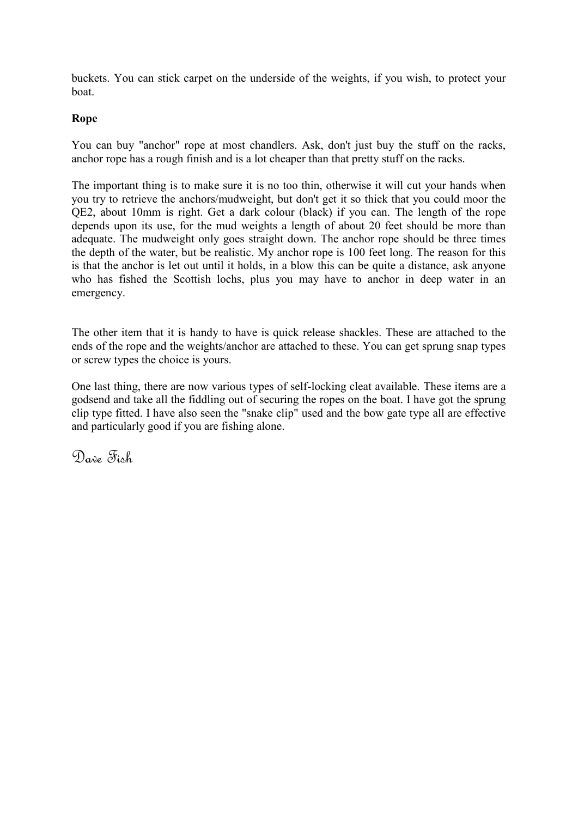buckets. You can stick carpet on the underside of the weights, if you wish, to protect your boat.

## **Rope**

You can buy "anchor" rope at most chandlers. Ask, don't just buy the stuff on the racks, anchor rope has a rough finish and is a lot cheaper than that pretty stuff on the racks.

The important thing is to make sure it is no too thin, otherwise it will cut your hands when you try to retrieve the anchors/mudweight, but don't get it so thick that you could moor the QE2, about 10mm is right. Get a dark colour (black) if you can. The length of the rope depends upon its use, for the mud weights a length of about 20 feet should be more than adequate. The mudweight only goes straight down. The anchor rope should be three times the depth of the water, but be realistic. My anchor rope is 100 feet long. The reason for this is that the anchor is let out until it holds, in a blow this can be quite a distance, ask anyone who has fished the Scottish lochs, plus you may have to anchor in deep water in an emergency.

The other item that it is handy to have is quick release shackles. These are attached to the ends of the rope and the weights/anchor are attached to these. You can get sprung snap types or screw types the choice is yours.

One last thing, there are now various types of self-locking cleat available. These items are a godsend and take all the fiddling out of securing the ropes on the boat. I have got the sprung clip type fitted. I have also seen the "snake clip" used and the bow gate type all are effective and particularly good if you are fishing alone.

Dave Fish